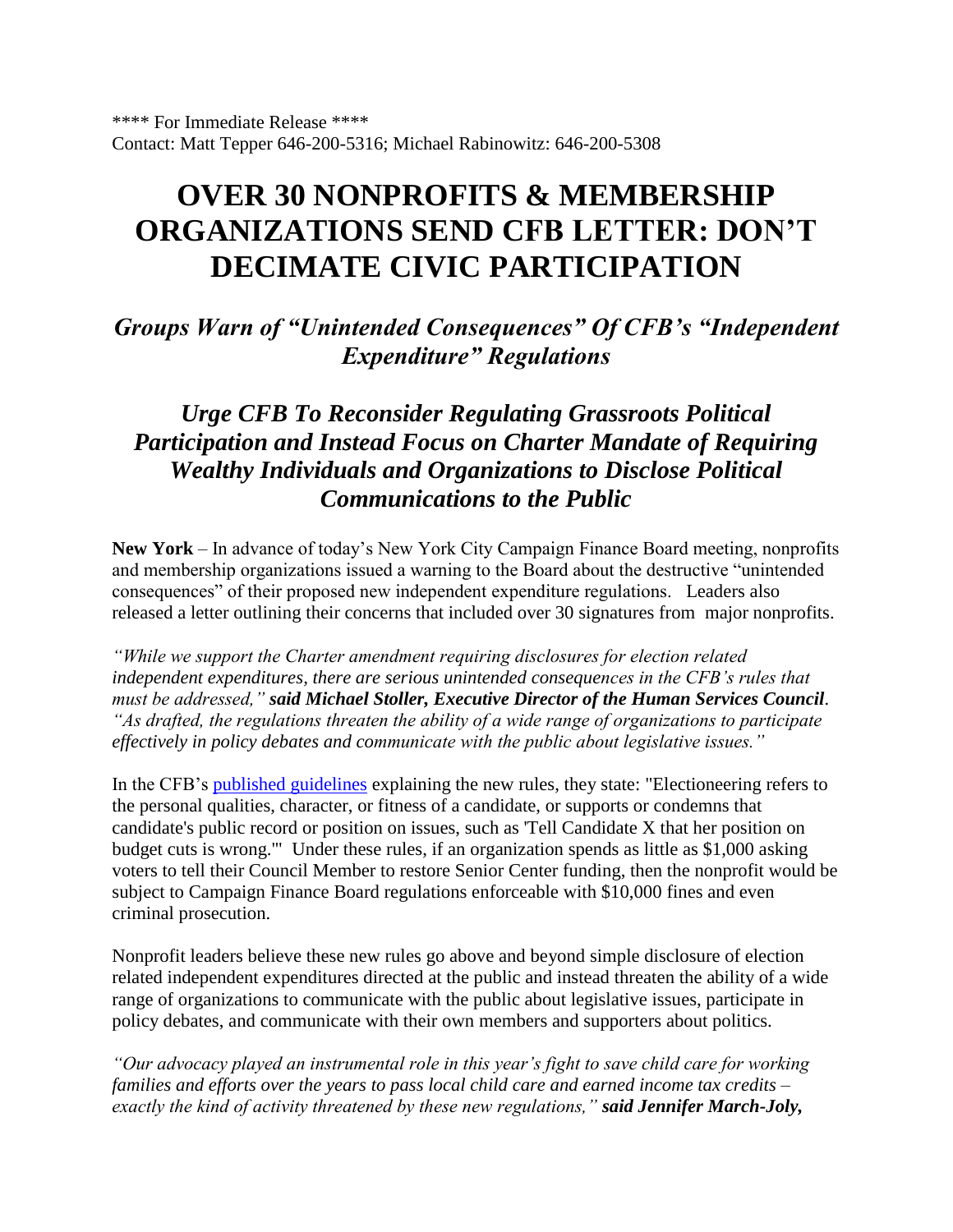# **OVER 30 NONPROFITS & MEMBERSHIP ORGANIZATIONS SEND CFB LETTER: DON'T DECIMATE CIVIC PARTICIPATION**

*Groups Warn of "Unintended Consequences" Of CFB's "Independent Expenditure" Regulations*

# *Urge CFB To Reconsider Regulating Grassroots Political Participation and Instead Focus on Charter Mandate of Requiring Wealthy Individuals and Organizations to Disclose Political Communications to the Public*

**New York** – In advance of today's New York City Campaign Finance Board meeting, nonprofits and membership organizations issued a warning to the Board about the destructive "unintended consequences" of their proposed new independent expenditure regulations. Leaders also released a letter outlining their concerns that included over 30 signatures from major nonprofits.

*"While we support the Charter amendment requiring disclosures for election related independent expenditures, there are serious unintended consequences in the CFB's rules that must be addressed," said Michael Stoller, Executive Director of the Human Services Council. "As drafted, the regulations threaten the ability of a wide range of organizations to participate effectively in policy debates and communicate with the public about legislative issues."*

In the CFB's [published guidelines](http://www.nyccfb.info/PDF/rulemaking/Proposed_Rules_2011-09-08.pdf) explaining the new rules, they state: "Electioneering refers to the personal qualities, character, or fitness of a candidate, or supports or condemns that candidate's public record or position on issues, such as 'Tell Candidate X that her position on budget cuts is wrong.'" Under these rules, if an organization spends as little as \$1,000 asking voters to tell their Council Member to restore Senior Center funding, then the nonprofit would be subject to Campaign Finance Board regulations enforceable with \$10,000 fines and even criminal prosecution.

Nonprofit leaders believe these new rules go above and beyond simple disclosure of election related independent expenditures directed at the public and instead threaten the ability of a wide range of organizations to communicate with the public about legislative issues, participate in policy debates, and communicate with their own members and supporters about politics.

*"Our advocacy played an instrumental role in this year's fight to save child care for working families and efforts over the years to pass local child care and earned income tax credits – exactly the kind of activity threatened by these new regulations," said Jennifer March-Joly,*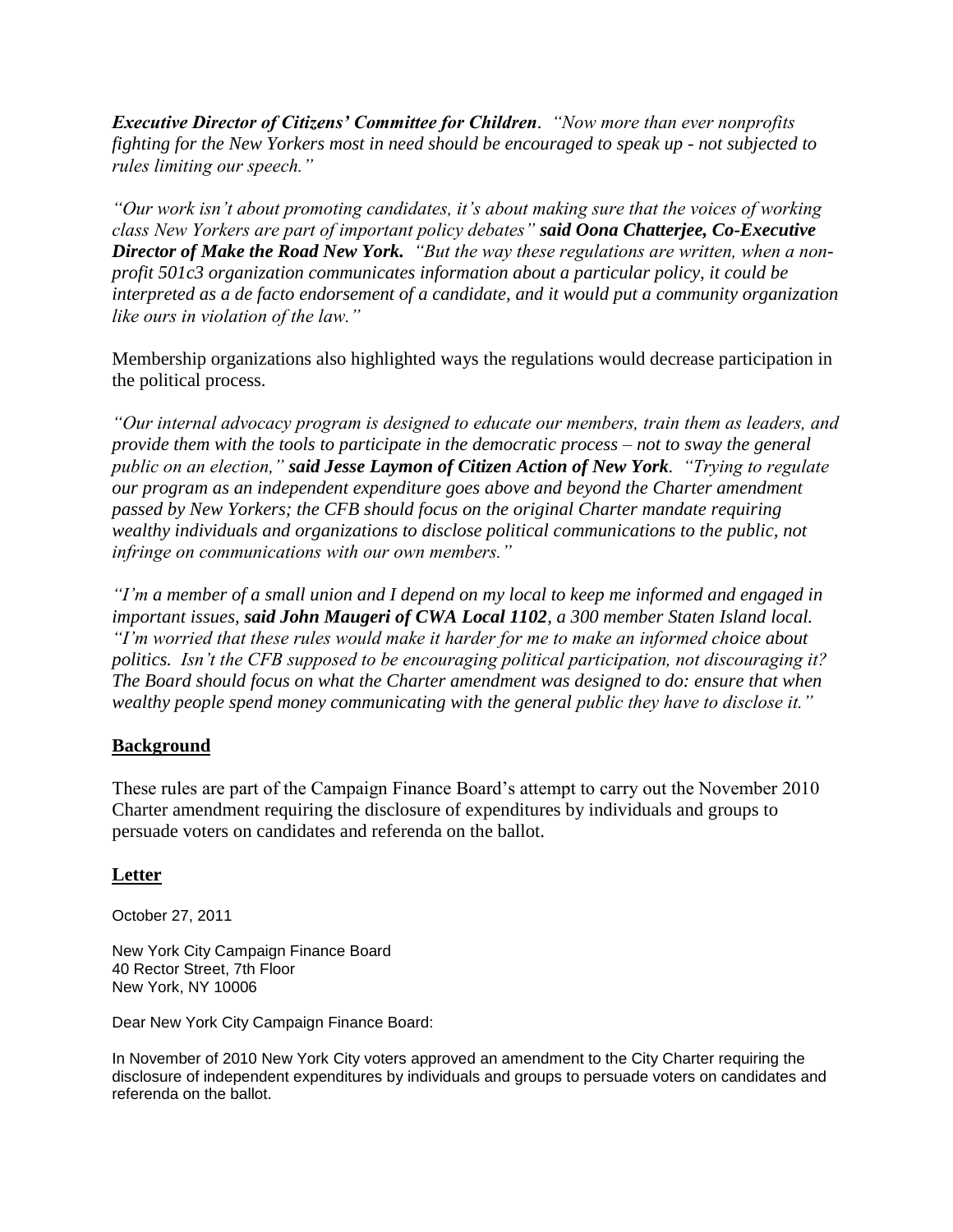*Executive Director of Citizens' Committee for Children. "Now more than ever nonprofits fighting for the New Yorkers most in need should be encouraged to speak up - not subjected to rules limiting our speech."*

*"Our work isn't about promoting candidates, it's about making sure that the voices of working class New Yorkers are part of important policy debates" said Oona Chatterjee, Co-Executive Director of Make the Road New York. "But the way these regulations are written, when a nonprofit 501c3 organization communicates information about a particular policy, it could be interpreted as a de facto endorsement of a candidate, and it would put a community organization like ours in violation of the law."*

Membership organizations also highlighted ways the regulations would decrease participation in the political process.

*"Our internal advocacy program is designed to educate our members, train them as leaders, and provide them with the tools to participate in the democratic process – not to sway the general public on an election," said Jesse Laymon of Citizen Action of New York. "Trying to regulate our program as an independent expenditure goes above and beyond the Charter amendment passed by New Yorkers; the CFB should focus on the original Charter mandate requiring wealthy individuals and organizations to disclose political communications to the public, not infringe on communications with our own members."*

*"I'm a member of a small union and I depend on my local to keep me informed and engaged in important issues, said John Maugeri of CWA Local 1102, a 300 member Staten Island local. "I'm worried that these rules would make it harder for me to make an informed choice about politics. Isn't the CFB supposed to be encouraging political participation, not discouraging it? The Board should focus on what the Charter amendment was designed to do: ensure that when wealthy people spend money communicating with the general public they have to disclose it."* 

## **Background**

These rules are part of the Campaign Finance Board's attempt to carry out the November 2010 Charter amendment requiring the disclosure of expenditures by individuals and groups to persuade voters on candidates and referenda on the ballot.

### **Letter**

October 27, 2011

New York City Campaign Finance Board 40 Rector Street, 7th Floor New York, NY 10006

Dear New York City Campaign Finance Board:

In November of 2010 New York City voters approved an amendment to the City Charter requiring the disclosure of independent expenditures by individuals and groups to persuade voters on candidates and referenda on the ballot.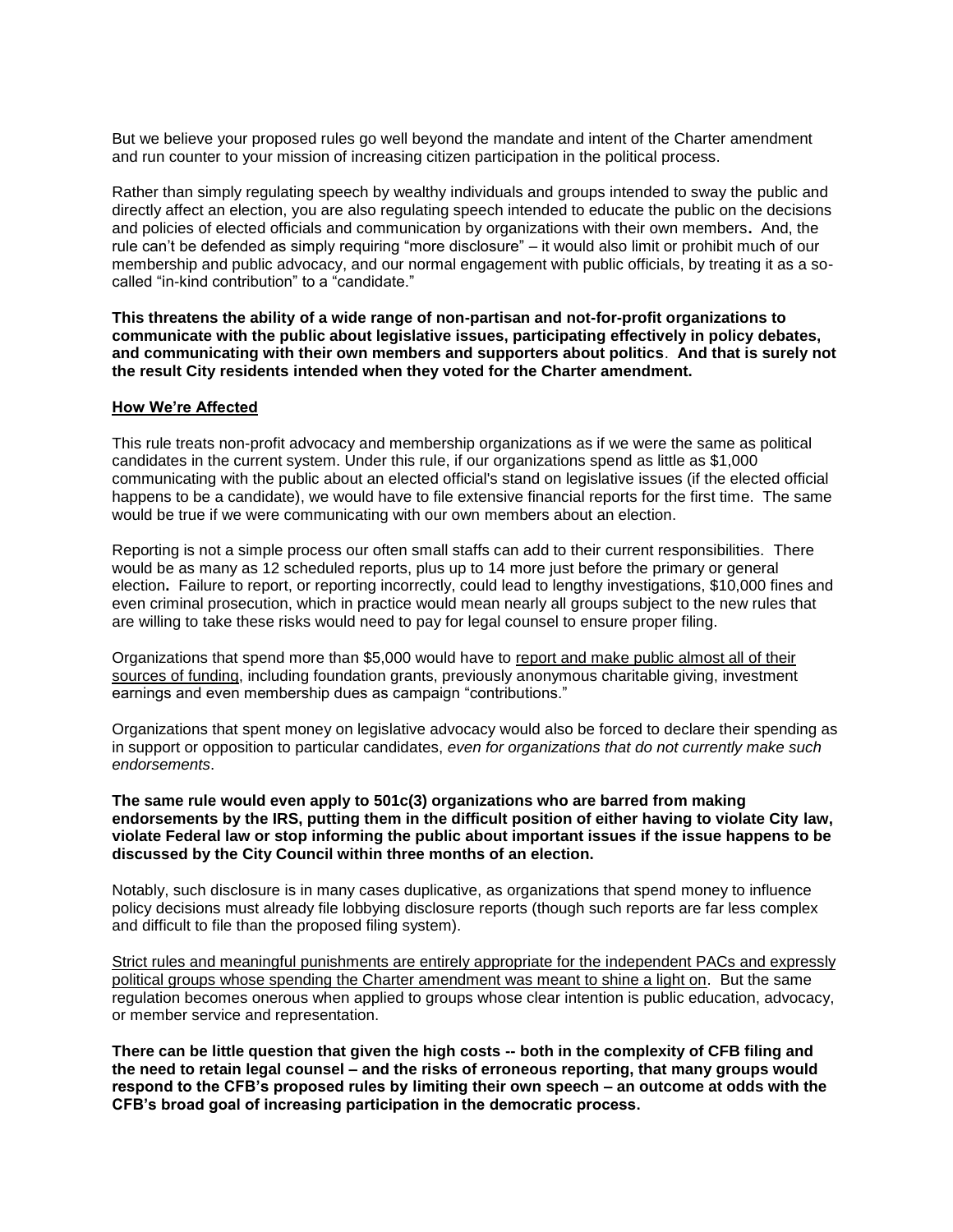But we believe your proposed rules go well beyond the mandate and intent of the Charter amendment and run counter to your mission of increasing citizen participation in the political process.

Rather than simply regulating speech by wealthy individuals and groups intended to sway the public and directly affect an election, you are also regulating speech intended to educate the public on the decisions and policies of elected officials and communication by organizations with their own members**.** And, the rule can't be defended as simply requiring "more disclosure" – it would also limit or prohibit much of our membership and public advocacy, and our normal engagement with public officials, by treating it as a socalled "in-kind contribution" to a "candidate."

**This threatens the ability of a wide range of non-partisan and not-for-profit organizations to communicate with the public about legislative issues, participating effectively in policy debates, and communicating with their own members and supporters about politics**. **And that is surely not the result City residents intended when they voted for the Charter amendment.**

#### **How We're Affected**

This rule treats non-profit advocacy and membership organizations as if we were the same as political candidates in the current system. Under this rule, if our organizations spend as little as \$1,000 communicating with the public about an elected official's stand on legislative issues (if the elected official happens to be a candidate), we would have to file extensive financial reports for the first time. The same would be true if we were communicating with our own members about an election.

Reporting is not a simple process our often small staffs can add to their current responsibilities. There would be as many as 12 scheduled reports, plus up to 14 more just before the primary or general election**.** Failure to report, or reporting incorrectly, could lead to lengthy investigations, \$10,000 fines and even criminal prosecution, which in practice would mean nearly all groups subject to the new rules that are willing to take these risks would need to pay for legal counsel to ensure proper filing.

Organizations that spend more than \$5,000 would have to report and make public almost all of their sources of funding, including foundation grants, previously anonymous charitable giving, investment earnings and even membership dues as campaign "contributions."

Organizations that spent money on legislative advocacy would also be forced to declare their spending as in support or opposition to particular candidates, *even for organizations that do not currently make such endorsements*.

#### **The same rule would even apply to 501c(3) organizations who are barred from making endorsements by the IRS, putting them in the difficult position of either having to violate City law, violate Federal law or stop informing the public about important issues if the issue happens to be discussed by the City Council within three months of an election.**

Notably, such disclosure is in many cases duplicative, as organizations that spend money to influence policy decisions must already file lobbying disclosure reports (though such reports are far less complex and difficult to file than the proposed filing system).

Strict rules and meaningful punishments are entirely appropriate for the independent PACs and expressly political groups whose spending the Charter amendment was meant to shine a light on. But the same regulation becomes onerous when applied to groups whose clear intention is public education, advocacy, or member service and representation.

**There can be little question that given the high costs -- both in the complexity of CFB filing and the need to retain legal counsel – and the risks of erroneous reporting, that many groups would respond to the CFB's proposed rules by limiting their own speech – an outcome at odds with the CFB's broad goal of increasing participation in the democratic process.**